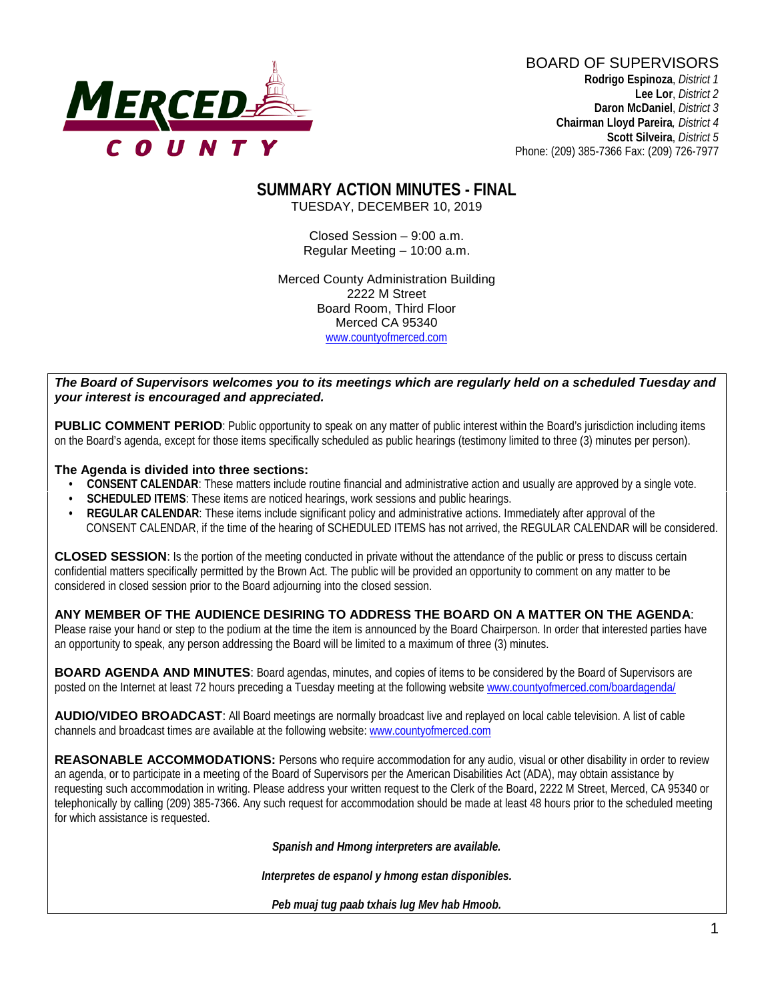

BOARD OF SUPERVISORS **Rodrigo Espinoza**, *District 1*  **Lee Lor**, *District 2*  **Daron McDaniel**, *District 3* **Chairman Lloyd Pareira***, District 4*  **Scott Silveira**, *District 5* Phone: (209) 385-7366 Fax: (209) 726-7977

#### **SUMMARY ACTION MINUTES - FINAL** TUESDAY, DECEMBER 10, 2019

Closed Session – 9:00 a.m. Regular Meeting – 10:00 a.m.

Merced County Administration Building 2222 M Street Board Room, Third Floor Merced CA 95340 www.countyofmerced.com

#### *The Board of Supervisors welcomes you to its meetings which are regularly held on a scheduled Tuesday and your interest is encouraged and appreciated.*

**PUBLIC COMMENT PERIOD:** Public opportunity to speak on any matter of public interest within the Board's jurisdiction including items on the Board's agenda, except for those items specifically scheduled as public hearings (testimony limited to three (3) minutes per person).

#### **The Agenda is divided into three sections:**

- **CONSENT CALENDAR**: These matters include routine financial and administrative action and usually are approved by a single vote.
- **SCHEDULED ITEMS:** These items are noticed hearings, work sessions and public hearings.
- **REGULAR CALENDAR**: These items include significant policy and administrative actions. Immediately after approval of the CONSENT CALENDAR, if the time of the hearing of SCHEDULED ITEMS has not arrived, the REGULAR CALENDAR will be considered.

**CLOSED SESSION**: Is the portion of the meeting conducted in private without the attendance of the public or press to discuss certain confidential matters specifically permitted by the Brown Act. The public will be provided an opportunity to comment on any matter to be considered in closed session prior to the Board adjourning into the closed session.

#### **ANY MEMBER OF THE AUDIENCE DESIRING TO ADDRESS THE BOARD ON A MATTER ON THE AGENDA**:

Please raise your hand or step to the podium at the time the item is announced by the Board Chairperson. In order that interested parties have an opportunity to speak, any person addressing the Board will be limited to a maximum of three (3) minutes.

**BOARD AGENDA AND MINUTES:** Board agendas, minutes, and copies of items to be considered by the Board of Supervisors are posted on the Internet at least 72 hours preceding a Tuesday meeting at the following website [www.countyofmerced.com/boardagenda/](http://www.countyofmerced.com/boardagenda/) 

**AUDIO/VIDEO BROADCAST**: All Board meetings are normally broadcast live and replayed on local cable television. A list of cable channels and broadcast times are available at the following website[: www.countyofmerced.com](http://www.countyofmerced.com/)

**REASONABLE ACCOMMODATIONS:** Persons who require accommodation for any audio, visual or other disability in order to review an agenda, or to participate in a meeting of the Board of Supervisors per the American Disabilities Act (ADA), may obtain assistance by requesting such accommodation in writing. Please address your written request to the Clerk of the Board, 2222 M Street, Merced, CA 95340 or telephonically by calling (209) 385-7366. Any such request for accommodation should be made at least 48 hours prior to the scheduled meeting for which assistance is requested.

*Spanish and Hmong interpreters are available.*

*Interpretes de espanol y hmong estan disponibles.*

*Peb muaj tug paab txhais lug Mev hab Hmoob.*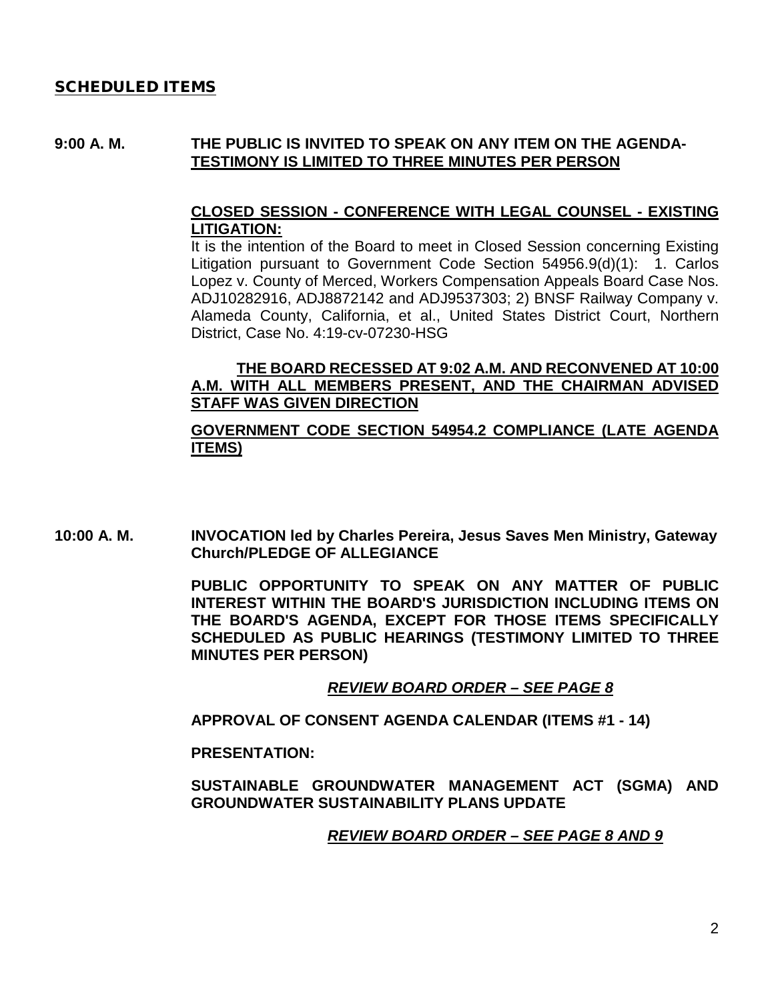## SCHEDULED ITEMS

#### **9:00 A. M. THE PUBLIC IS INVITED TO SPEAK ON ANY ITEM ON THE AGENDA-TESTIMONY IS LIMITED TO THREE MINUTES PER PERSON**

## **CLOSED SESSION - CONFERENCE WITH LEGAL COUNSEL - EXISTING LITIGATION:**

It is the intention of the Board to meet in Closed Session concerning Existing Litigation pursuant to Government Code Section 54956.9(d)(1): 1. Carlos Lopez v. County of Merced, Workers Compensation Appeals Board Case Nos. ADJ10282916, ADJ8872142 and ADJ9537303; 2) BNSF Railway Company v. Alameda County, California, et al., United States District Court, Northern District, Case No. 4:19-cv-07230-HSG

## **THE BOARD RECESSED AT 9:02 A.M. AND RECONVENED AT 10:00 A.M. WITH ALL MEMBERS PRESENT, AND THE CHAIRMAN ADVISED STAFF WAS GIVEN DIRECTION**

## **GOVERNMENT CODE SECTION 54954.2 COMPLIANCE (LATE AGENDA ITEMS)**

**10:00 A. M. INVOCATION led by Charles Pereira, Jesus Saves Men Ministry, Gateway Church/PLEDGE OF ALLEGIANCE**

> **PUBLIC OPPORTUNITY TO SPEAK ON ANY MATTER OF PUBLIC INTEREST WITHIN THE BOARD'S JURISDICTION INCLUDING ITEMS ON THE BOARD'S AGENDA, EXCEPT FOR THOSE ITEMS SPECIFICALLY SCHEDULED AS PUBLIC HEARINGS (TESTIMONY LIMITED TO THREE MINUTES PER PERSON)**

#### *REVIEW BOARD ORDER – SEE PAGE 8*

**APPROVAL OF CONSENT AGENDA CALENDAR (ITEMS #1 - 14)**

#### **PRESENTATION:**

**SUSTAINABLE GROUNDWATER MANAGEMENT ACT (SGMA) AND GROUNDWATER SUSTAINABILITY PLANS UPDATE**

## *REVIEW BOARD ORDER – SEE PAGE 8 AND 9*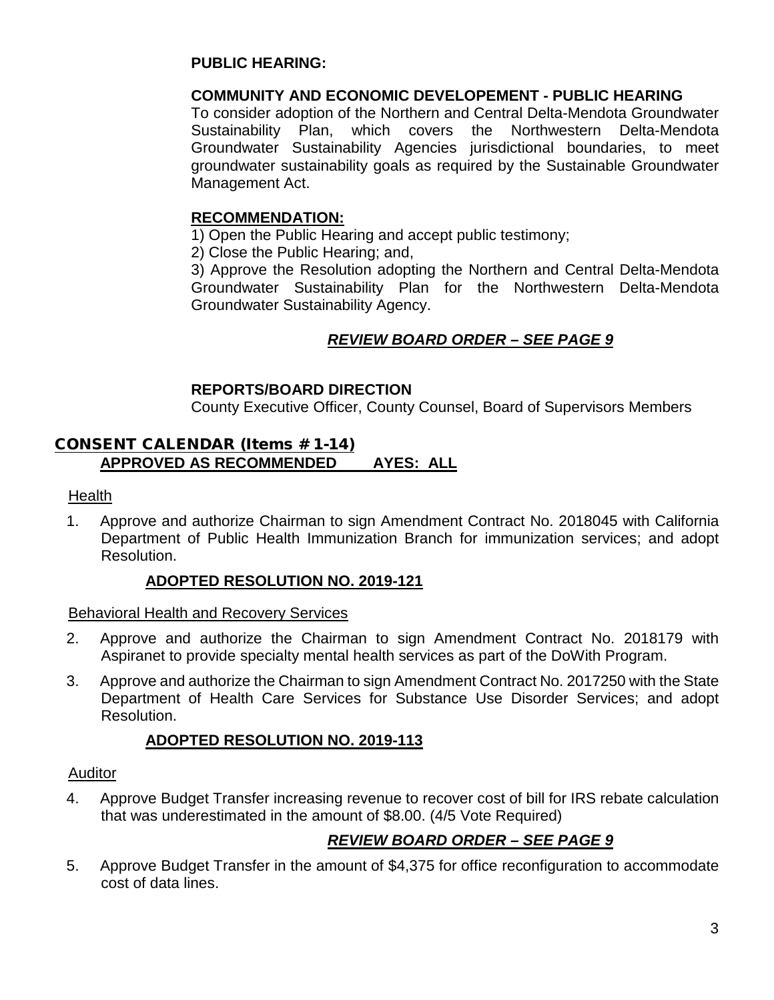## **PUBLIC HEARING:**

## **COMMUNITY AND ECONOMIC DEVELOPEMENT - PUBLIC HEARING**

To consider adoption of the Northern and Central Delta-Mendota Groundwater Sustainability Plan, which covers the Northwestern Delta-Mendota Groundwater Sustainability Agencies jurisdictional boundaries, to meet groundwater sustainability goals as required by the Sustainable Groundwater Management Act.

## **RECOMMENDATION:**

1) Open the Public Hearing and accept public testimony;

2) Close the Public Hearing; and,

3) Approve the Resolution adopting the Northern and Central Delta-Mendota Groundwater Sustainability Plan for the Northwestern Delta-Mendota Groundwater Sustainability Agency.

# *REVIEW BOARD ORDER – SEE PAGE 9*

## **REPORTS/BOARD DIRECTION**

County Executive Officer, County Counsel, Board of Supervisors Members

## CONSENT CALENDAR (Items # 1-14) **APPROVED AS RECOMMENDED AYES: ALL**

**Health** 

1. Approve and authorize Chairman to sign Amendment Contract No. 2018045 with California Department of Public Health Immunization Branch for immunization services; and adopt Resolution.

## **ADOPTED RESOLUTION NO. 2019-121**

Behavioral Health and Recovery Services

- 2. Approve and authorize the Chairman to sign Amendment Contract No. 2018179 with Aspiranet to provide specialty mental health services as part of the DoWith Program.
- 3. Approve and authorize the Chairman to sign Amendment Contract No. 2017250 with the State Department of Health Care Services for Substance Use Disorder Services; and adopt Resolution.

## **ADOPTED RESOLUTION NO. 2019-113**

## Auditor

4. Approve Budget Transfer increasing revenue to recover cost of bill for IRS rebate calculation that was underestimated in the amount of \$8.00. (4/5 Vote Required)

# *REVIEW BOARD ORDER – SEE PAGE 9*

5. Approve Budget Transfer in the amount of \$4,375 for office reconfiguration to accommodate cost of data lines.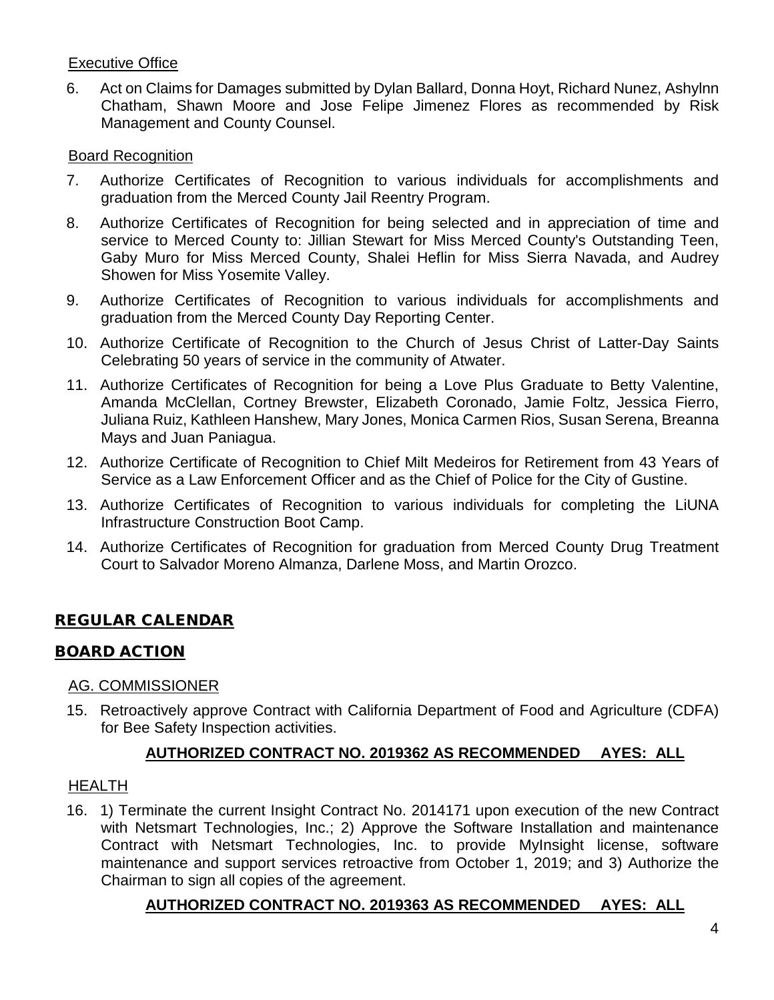## Executive Office

6. Act on Claims for Damages submitted by Dylan Ballard, Donna Hoyt, Richard Nunez, Ashylnn Chatham, Shawn Moore and Jose Felipe Jimenez Flores as recommended by Risk Management and County Counsel.

## Board Recognition

- 7. Authorize Certificates of Recognition to various individuals for accomplishments and graduation from the Merced County Jail Reentry Program.
- 8. Authorize Certificates of Recognition for being selected and in appreciation of time and service to Merced County to: Jillian Stewart for Miss Merced County's Outstanding Teen, Gaby Muro for Miss Merced County, Shalei Heflin for Miss Sierra Navada, and Audrey Showen for Miss Yosemite Valley.
- 9. Authorize Certificates of Recognition to various individuals for accomplishments and graduation from the Merced County Day Reporting Center.
- 10. Authorize Certificate of Recognition to the Church of Jesus Christ of Latter-Day Saints Celebrating 50 years of service in the community of Atwater.
- 11. Authorize Certificates of Recognition for being a Love Plus Graduate to Betty Valentine, Amanda McClellan, Cortney Brewster, Elizabeth Coronado, Jamie Foltz, Jessica Fierro, Juliana Ruiz, Kathleen Hanshew, Mary Jones, Monica Carmen Rios, Susan Serena, Breanna Mays and Juan Paniagua.
- 12. Authorize Certificate of Recognition to Chief Milt Medeiros for Retirement from 43 Years of Service as a Law Enforcement Officer and as the Chief of Police for the City of Gustine.
- 13. Authorize Certificates of Recognition to various individuals for completing the LiUNA Infrastructure Construction Boot Camp.
- 14. Authorize Certificates of Recognition for graduation from Merced County Drug Treatment Court to Salvador Moreno Almanza, Darlene Moss, and Martin Orozco.

# REGULAR CALENDAR

# BOARD ACTION

## AG. COMMISSIONER

15. Retroactively approve Contract with California Department of Food and Agriculture (CDFA) for Bee Safety Inspection activities.

# **AUTHORIZED CONTRACT NO. 2019362 AS RECOMMENDED AYES: ALL**

## HEALTH

16. 1) Terminate the current Insight Contract No. 2014171 upon execution of the new Contract with Netsmart Technologies, Inc.; 2) Approve the Software Installation and maintenance Contract with Netsmart Technologies, Inc. to provide MyInsight license, software maintenance and support services retroactive from October 1, 2019; and 3) Authorize the Chairman to sign all copies of the agreement.

# **AUTHORIZED CONTRACT NO. 2019363 AS RECOMMENDED AYES: ALL**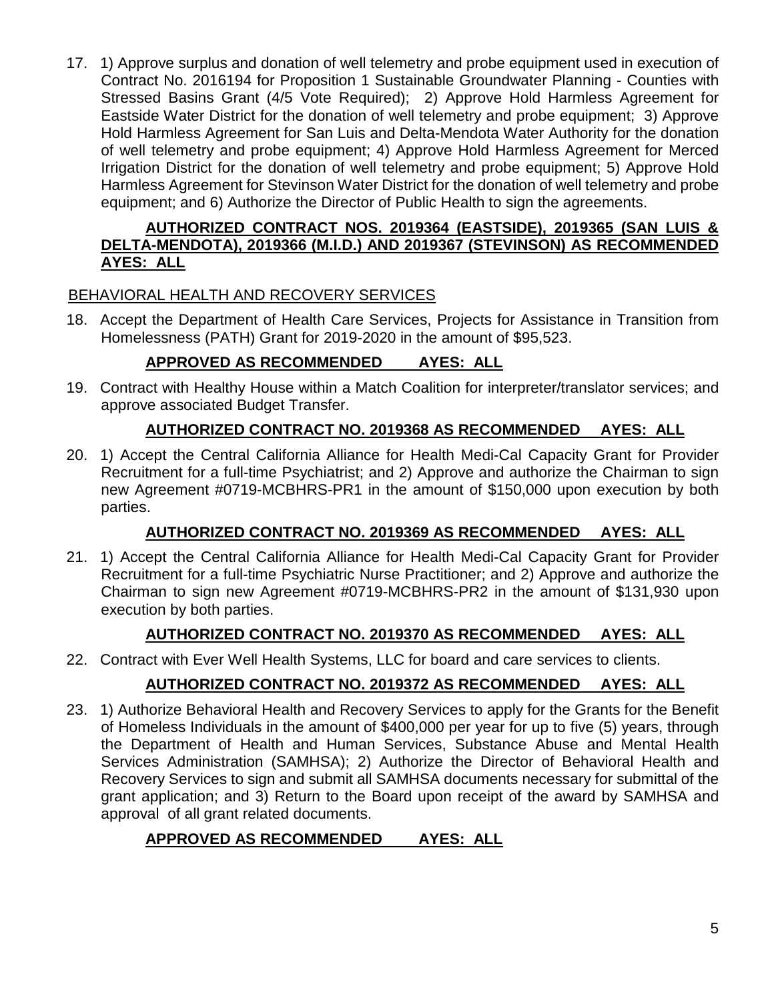17. 1) Approve surplus and donation of well telemetry and probe equipment used in execution of Contract No. 2016194 for Proposition 1 Sustainable Groundwater Planning - Counties with Stressed Basins Grant (4/5 Vote Required); 2) Approve Hold Harmless Agreement for Eastside Water District for the donation of well telemetry and probe equipment; 3) Approve Hold Harmless Agreement for San Luis and Delta-Mendota Water Authority for the donation of well telemetry and probe equipment; 4) Approve Hold Harmless Agreement for Merced Irrigation District for the donation of well telemetry and probe equipment; 5) Approve Hold Harmless Agreement for Stevinson Water District for the donation of well telemetry and probe equipment; and 6) Authorize the Director of Public Health to sign the agreements.

## **AUTHORIZED CONTRACT NOS. 2019364 (EASTSIDE), 2019365 (SAN LUIS & DELTA-MENDOTA), 2019366 (M.I.D.) AND 2019367 (STEVINSON) AS RECOMMENDED AYES: ALL**

# BEHAVIORAL HEALTH AND RECOVERY SERVICES

18. Accept the Department of Health Care Services, Projects for Assistance in Transition from Homelessness (PATH) Grant for 2019-2020 in the amount of \$95,523.

# **APPROVED AS RECOMMENDED AYES: ALL**

19. Contract with Healthy House within a Match Coalition for interpreter/translator services; and approve associated Budget Transfer.

# **AUTHORIZED CONTRACT NO. 2019368 AS RECOMMENDED AYES: ALL**

20. 1) Accept the Central California Alliance for Health Medi-Cal Capacity Grant for Provider Recruitment for a full-time Psychiatrist; and 2) Approve and authorize the Chairman to sign new Agreement #0719-MCBHRS-PR1 in the amount of \$150,000 upon execution by both parties.

# **AUTHORIZED CONTRACT NO. 2019369 AS RECOMMENDED AYES: ALL**

21. 1) Accept the Central California Alliance for Health Medi-Cal Capacity Grant for Provider Recruitment for a full-time Psychiatric Nurse Practitioner; and 2) Approve and authorize the Chairman to sign new Agreement #0719-MCBHRS-PR2 in the amount of \$131,930 upon execution by both parties.

# **AUTHORIZED CONTRACT NO. 2019370 AS RECOMMENDED AYES: ALL**

22. Contract with Ever Well Health Systems, LLC for board and care services to clients.

# **AUTHORIZED CONTRACT NO. 2019372 AS RECOMMENDED AYES: ALL**

23. 1) Authorize Behavioral Health and Recovery Services to apply for the Grants for the Benefit of Homeless Individuals in the amount of \$400,000 per year for up to five (5) years, through the Department of Health and Human Services, Substance Abuse and Mental Health Services Administration (SAMHSA); 2) Authorize the Director of Behavioral Health and Recovery Services to sign and submit all SAMHSA documents necessary for submittal of the grant application; and 3) Return to the Board upon receipt of the award by SAMHSA and approval of all grant related documents.

# **APPROVED AS RECOMMENDED AYES: ALL**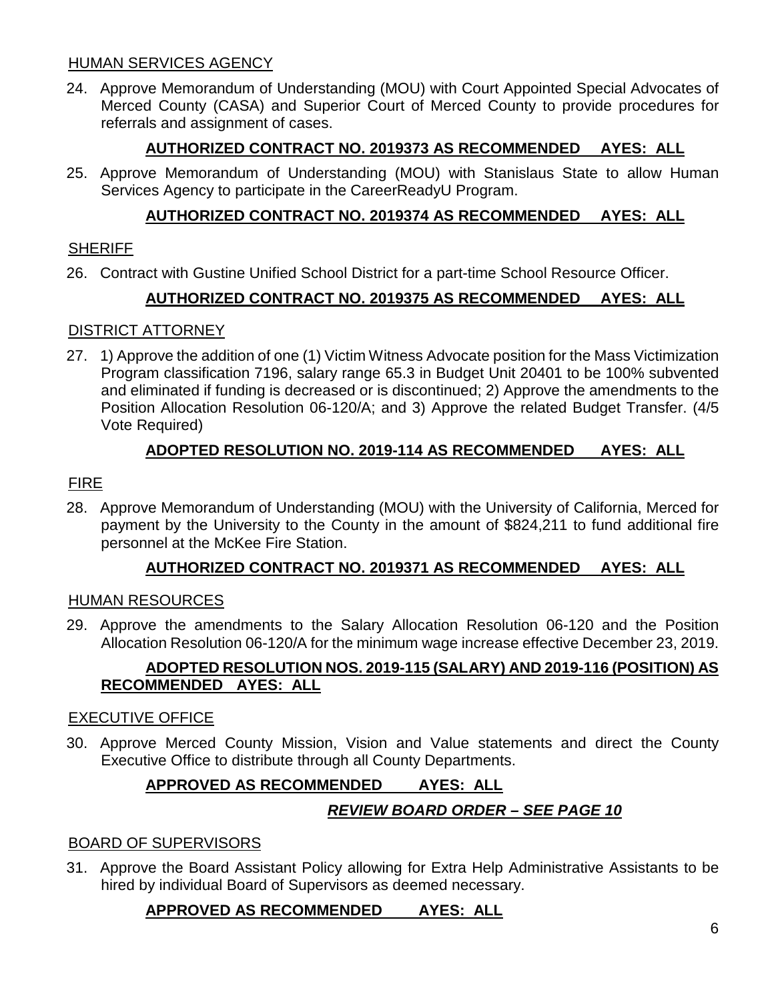## HUMAN SERVICES AGENCY

24. Approve Memorandum of Understanding (MOU) with Court Appointed Special Advocates of Merced County (CASA) and Superior Court of Merced County to provide procedures for referrals and assignment of cases.

# **AUTHORIZED CONTRACT NO. 2019373 AS RECOMMENDED AYES: ALL**

25. Approve Memorandum of Understanding (MOU) with Stanislaus State to allow Human Services Agency to participate in the CareerReadyU Program.

# **AUTHORIZED CONTRACT NO. 2019374 AS RECOMMENDED AYES: ALL**

## **SHERIFF**

26. Contract with Gustine Unified School District for a part-time School Resource Officer.

# **AUTHORIZED CONTRACT NO. 2019375 AS RECOMMENDED AYES: ALL**

## DISTRICT ATTORNEY

27. 1) Approve the addition of one (1) Victim Witness Advocate position for the Mass Victimization Program classification 7196, salary range 65.3 in Budget Unit 20401 to be 100% subvented and eliminated if funding is decreased or is discontinued; 2) Approve the amendments to the Position Allocation Resolution 06-120/A; and 3) Approve the related Budget Transfer. (4/5 Vote Required)

# **ADOPTED RESOLUTION NO. 2019-114 AS RECOMMENDED AYES: ALL**

# FIRE

28. Approve Memorandum of Understanding (MOU) with the University of California, Merced for payment by the University to the County in the amount of \$824,211 to fund additional fire personnel at the McKee Fire Station.

# **AUTHORIZED CONTRACT NO. 2019371 AS RECOMMENDED AYES: ALL**

## HUMAN RESOURCES

29. Approve the amendments to the Salary Allocation Resolution 06-120 and the Position Allocation Resolution 06-120/A for the minimum wage increase effective December 23, 2019.

## **ADOPTED RESOLUTION NOS. 2019-115 (SALARY) AND 2019-116 (POSITION) AS RECOMMENDED AYES: ALL**

## EXECUTIVE OFFICE

30. Approve Merced County Mission, Vision and Value statements and direct the County Executive Office to distribute through all County Departments.

# **APPROVED AS RECOMMENDED AYES: ALL**

# *REVIEW BOARD ORDER – SEE PAGE 10*

# BOARD OF SUPERVISORS

31. Approve the Board Assistant Policy allowing for Extra Help Administrative Assistants to be hired by individual Board of Supervisors as deemed necessary.

# **APPROVED AS RECOMMENDED AYES: ALL**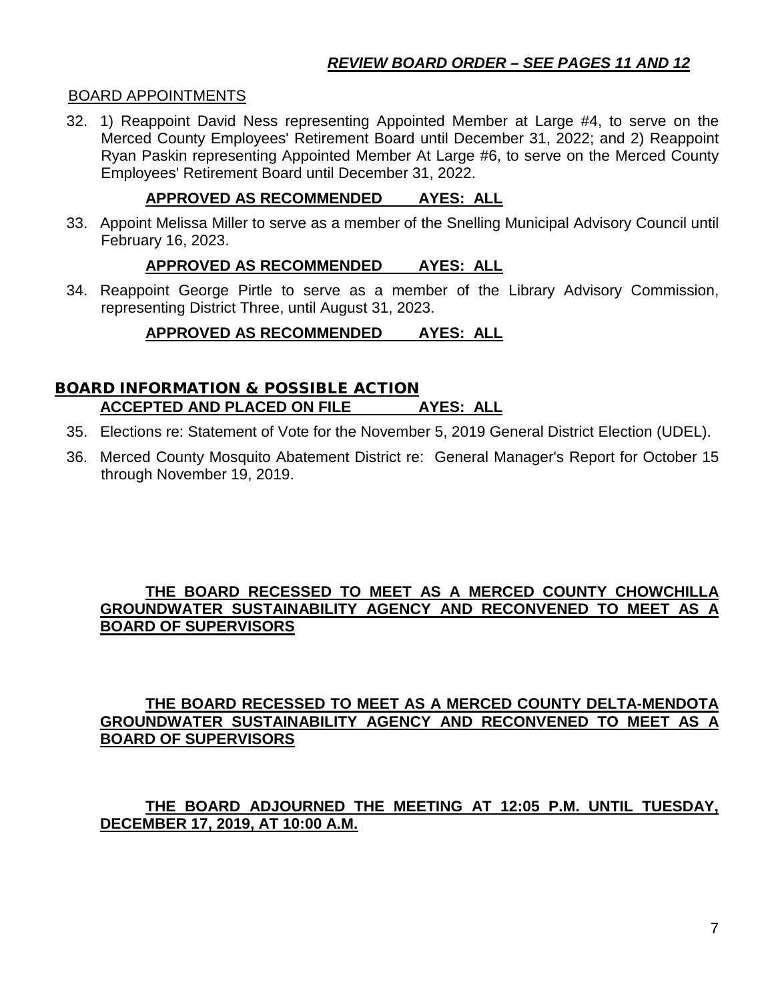#### BOARD APPOINTMENTS

32. 1) Reappoint David Ness representing Appointed Member at Large #4, to serve on the Merced County Employees' Retirement Board until December 31, 2022; and 2) Reappoint Ryan Paskin representing Appointed Member At Large #6, to serve on the Merced County Employees' Retirement Board until December 31, 2022.

## **APPROVED AS RECOMMENDED AYES: ALL**

33. Appoint Melissa Miller to serve as a member of the Snelling Municipal Advisory Council until February 16, 2023.

## **APPROVED AS RECOMMENDED AYES: ALL**

34. Reappoint George Pirtle to serve as a member of the Library Advisory Commission, representing District Three, until August 31, 2023.

# **APPROVED AS RECOMMENDED AYES: ALL**

#### BOARD INFORMATION & POSSIBLE ACTION **ACCEPTED AND PLACED ON FILE AYES: ALL**

- 35. Elections re: Statement of Vote for the November 5, 2019 General District Election (UDEL).
- 36. Merced County Mosquito Abatement District re: General Manager's Report for October 15 through November 19, 2019.

#### **THE BOARD RECESSED TO MEET AS A MERCED COUNTY CHOWCHILLA GROUNDWATER SUSTAINABILITY AGENCY AND RECONVENED TO MEET AS A BOARD OF SUPERVISORS**

## **THE BOARD RECESSED TO MEET AS A MERCED COUNTY DELTA-MENDOTA GROUNDWATER SUSTAINABILITY AGENCY AND RECONVENED TO MEET AS A BOARD OF SUPERVISORS**

## **THE BOARD ADJOURNED THE MEETING AT 12:05 P.M. UNTIL TUESDAY, DECEMBER 17, 2019, AT 10:00 A.M.**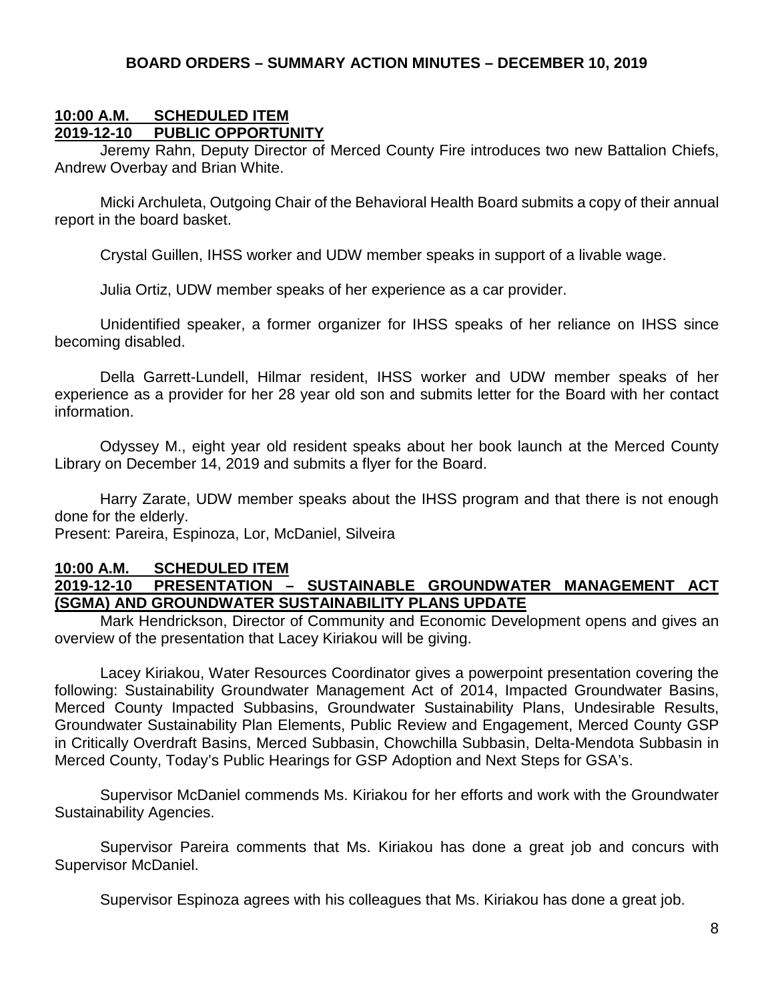## **BOARD ORDERS – SUMMARY ACTION MINUTES – DECEMBER 10, 2019**

#### **10:00 A.M. SCHEDULED ITEM 2019-12-10 PUBLIC OPPORTUNITY**

Jeremy Rahn, Deputy Director of Merced County Fire introduces two new Battalion Chiefs, Andrew Overbay and Brian White.

Micki Archuleta, Outgoing Chair of the Behavioral Health Board submits a copy of their annual report in the board basket.

Crystal Guillen, IHSS worker and UDW member speaks in support of a livable wage.

Julia Ortiz, UDW member speaks of her experience as a car provider.

Unidentified speaker, a former organizer for IHSS speaks of her reliance on IHSS since becoming disabled.

Della Garrett-Lundell, Hilmar resident, IHSS worker and UDW member speaks of her experience as a provider for her 28 year old son and submits letter for the Board with her contact information.

Odyssey M., eight year old resident speaks about her book launch at the Merced County Library on December 14, 2019 and submits a flyer for the Board.

Harry Zarate, UDW member speaks about the IHSS program and that there is not enough done for the elderly.

Present: Pareira, Espinoza, Lor, McDaniel, Silveira

# **10:00 A.M. SCHEDULED ITEM**

#### **2019-12-10 PRESENTATION – SUSTAINABLE GROUNDWATER MANAGEMENT ACT (SGMA) AND GROUNDWATER SUSTAINABILITY PLANS UPDATE**

Mark Hendrickson, Director of Community and Economic Development opens and gives an overview of the presentation that Lacey Kiriakou will be giving.

Lacey Kiriakou, Water Resources Coordinator gives a powerpoint presentation covering the following: Sustainability Groundwater Management Act of 2014, Impacted Groundwater Basins, Merced County Impacted Subbasins, Groundwater Sustainability Plans, Undesirable Results, Groundwater Sustainability Plan Elements, Public Review and Engagement, Merced County GSP in Critically Overdraft Basins, Merced Subbasin, Chowchilla Subbasin, Delta-Mendota Subbasin in Merced County, Today's Public Hearings for GSP Adoption and Next Steps for GSA's.

Supervisor McDaniel commends Ms. Kiriakou for her efforts and work with the Groundwater Sustainability Agencies.

Supervisor Pareira comments that Ms. Kiriakou has done a great job and concurs with Supervisor McDaniel.

Supervisor Espinoza agrees with his colleagues that Ms. Kiriakou has done a great job.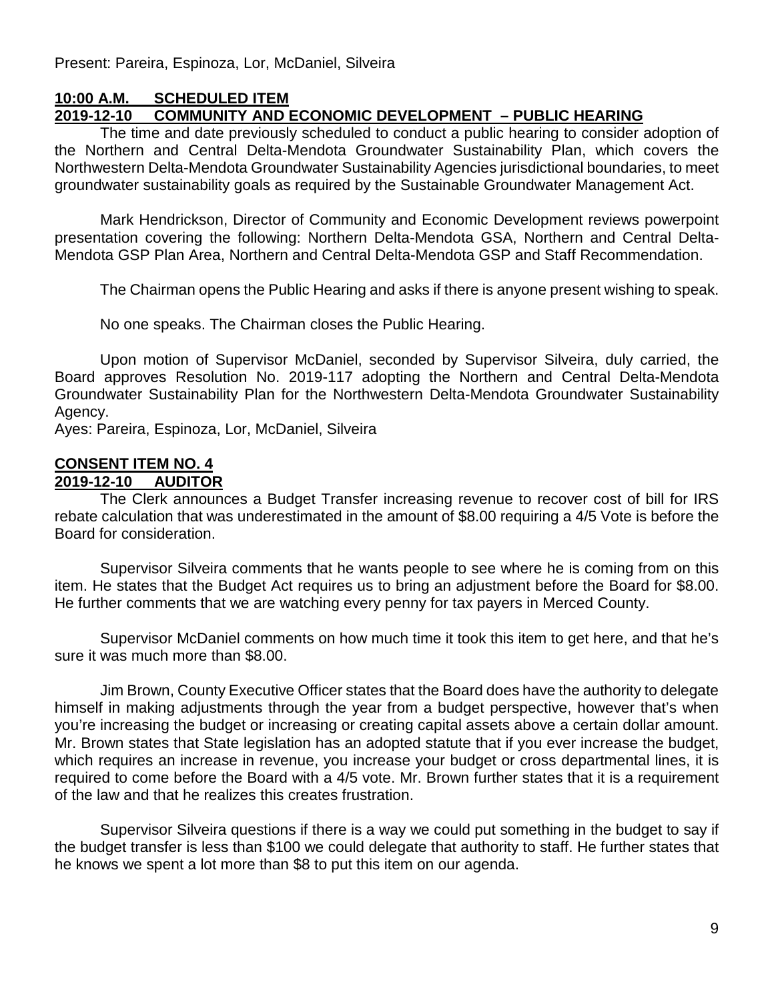Present: Pareira, Espinoza, Lor, McDaniel, Silveira

## **10:00 A.M. SCHEDULED ITEM 2019-12-10 COMMUNITY AND ECONOMIC DEVELOPMENT – PUBLIC HEARING**

The time and date previously scheduled to conduct a public hearing to consider adoption of the Northern and Central Delta-Mendota Groundwater Sustainability Plan, which covers the Northwestern Delta-Mendota Groundwater Sustainability Agencies jurisdictional boundaries, to meet groundwater sustainability goals as required by the Sustainable Groundwater Management Act.

Mark Hendrickson, Director of Community and Economic Development reviews powerpoint presentation covering the following: Northern Delta-Mendota GSA, Northern and Central Delta-Mendota GSP Plan Area, Northern and Central Delta-Mendota GSP and Staff Recommendation.

The Chairman opens the Public Hearing and asks if there is anyone present wishing to speak.

No one speaks. The Chairman closes the Public Hearing.

Upon motion of Supervisor McDaniel, seconded by Supervisor Silveira, duly carried, the Board approves Resolution No. 2019-117 adopting the Northern and Central Delta-Mendota Groundwater Sustainability Plan for the Northwestern Delta-Mendota Groundwater Sustainability Agency.

Ayes: Pareira, Espinoza, Lor, McDaniel, Silveira

# **CONSENT ITEM NO. 4**

#### **2019-12-10 AUDITOR**

The Clerk announces a Budget Transfer increasing revenue to recover cost of bill for IRS rebate calculation that was underestimated in the amount of \$8.00 requiring a 4/5 Vote is before the Board for consideration.

Supervisor Silveira comments that he wants people to see where he is coming from on this item. He states that the Budget Act requires us to bring an adjustment before the Board for \$8.00. He further comments that we are watching every penny for tax payers in Merced County.

Supervisor McDaniel comments on how much time it took this item to get here, and that he's sure it was much more than \$8.00.

Jim Brown, County Executive Officer states that the Board does have the authority to delegate himself in making adjustments through the year from a budget perspective, however that's when you're increasing the budget or increasing or creating capital assets above a certain dollar amount. Mr. Brown states that State legislation has an adopted statute that if you ever increase the budget, which requires an increase in revenue, you increase your budget or cross departmental lines, it is required to come before the Board with a 4/5 vote. Mr. Brown further states that it is a requirement of the law and that he realizes this creates frustration.

Supervisor Silveira questions if there is a way we could put something in the budget to say if the budget transfer is less than \$100 we could delegate that authority to staff. He further states that he knows we spent a lot more than \$8 to put this item on our agenda.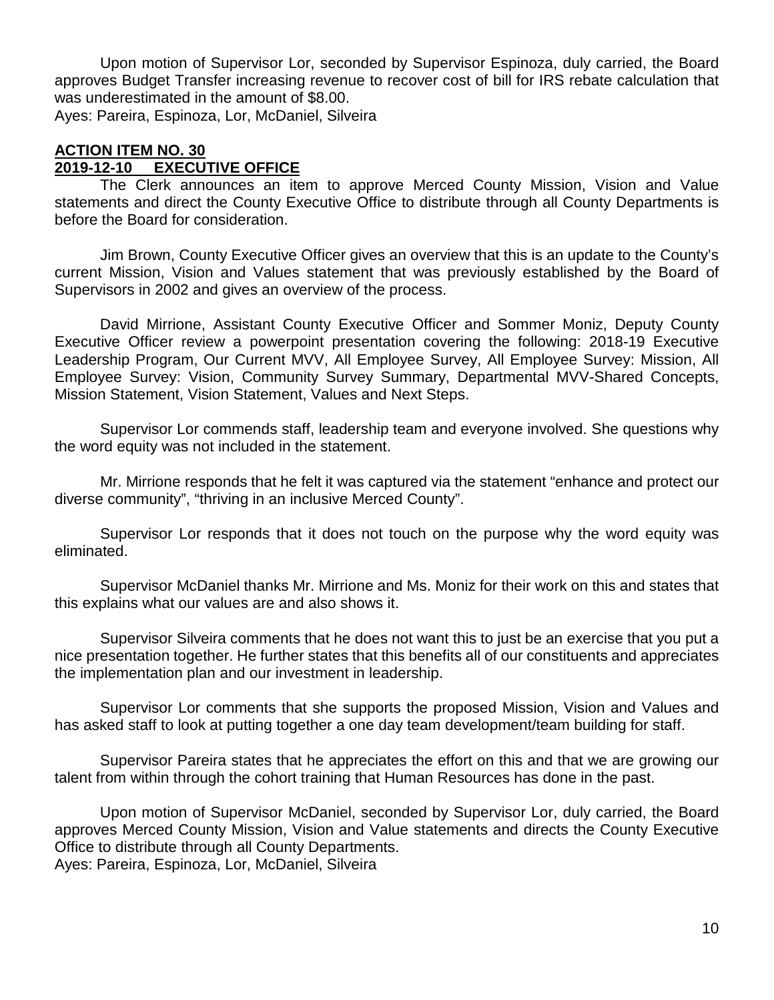Upon motion of Supervisor Lor, seconded by Supervisor Espinoza, duly carried, the Board approves Budget Transfer increasing revenue to recover cost of bill for IRS rebate calculation that was underestimated in the amount of \$8.00.

Ayes: Pareira, Espinoza, Lor, McDaniel, Silveira

## **ACTION ITEM NO. 30**

## **2019-12-10 EXECUTIVE OFFICE**

The Clerk announces an item to approve Merced County Mission, Vision and Value statements and direct the County Executive Office to distribute through all County Departments is before the Board for consideration.

Jim Brown, County Executive Officer gives an overview that this is an update to the County's current Mission, Vision and Values statement that was previously established by the Board of Supervisors in 2002 and gives an overview of the process.

David Mirrione, Assistant County Executive Officer and Sommer Moniz, Deputy County Executive Officer review a powerpoint presentation covering the following: 2018-19 Executive Leadership Program, Our Current MVV, All Employee Survey, All Employee Survey: Mission, All Employee Survey: Vision, Community Survey Summary, Departmental MVV-Shared Concepts, Mission Statement, Vision Statement, Values and Next Steps.

Supervisor Lor commends staff, leadership team and everyone involved. She questions why the word equity was not included in the statement.

Mr. Mirrione responds that he felt it was captured via the statement "enhance and protect our diverse community", "thriving in an inclusive Merced County".

Supervisor Lor responds that it does not touch on the purpose why the word equity was eliminated.

Supervisor McDaniel thanks Mr. Mirrione and Ms. Moniz for their work on this and states that this explains what our values are and also shows it.

Supervisor Silveira comments that he does not want this to just be an exercise that you put a nice presentation together. He further states that this benefits all of our constituents and appreciates the implementation plan and our investment in leadership.

Supervisor Lor comments that she supports the proposed Mission, Vision and Values and has asked staff to look at putting together a one day team development/team building for staff.

Supervisor Pareira states that he appreciates the effort on this and that we are growing our talent from within through the cohort training that Human Resources has done in the past.

Upon motion of Supervisor McDaniel, seconded by Supervisor Lor, duly carried, the Board approves Merced County Mission, Vision and Value statements and directs the County Executive Office to distribute through all County Departments.

Ayes: Pareira, Espinoza, Lor, McDaniel, Silveira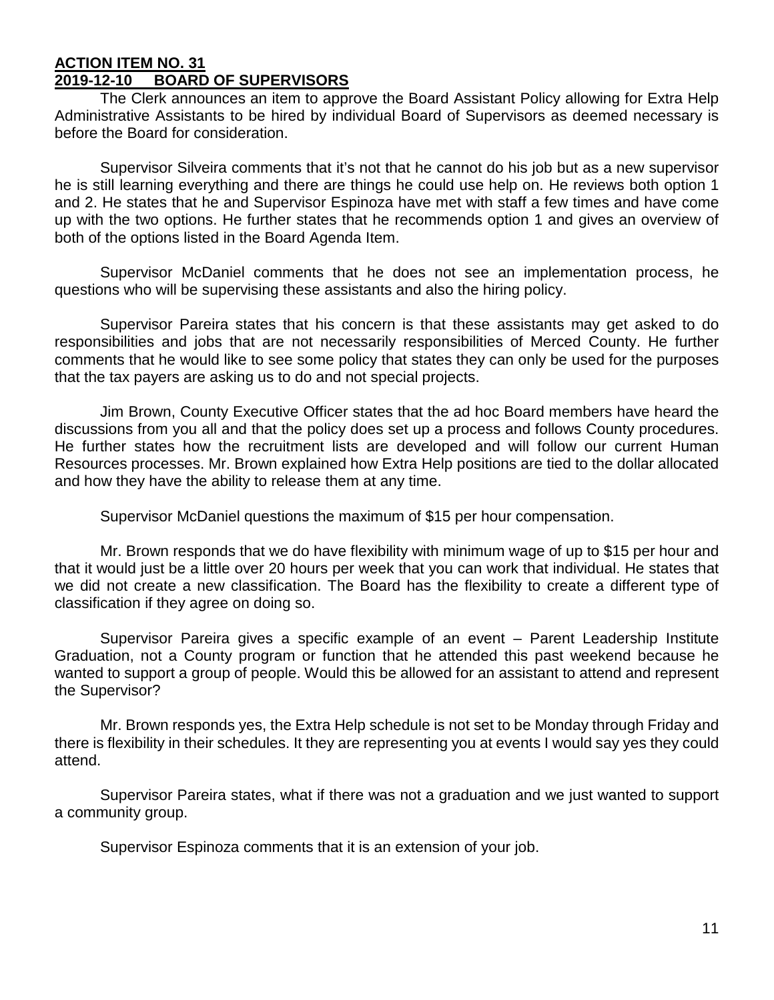#### **ACTION ITEM NO. 31 2019-12-10 BOARD OF SUPERVISORS**

The Clerk announces an item to approve the Board Assistant Policy allowing for Extra Help Administrative Assistants to be hired by individual Board of Supervisors as deemed necessary is before the Board for consideration.

Supervisor Silveira comments that it's not that he cannot do his job but as a new supervisor he is still learning everything and there are things he could use help on. He reviews both option 1 and 2. He states that he and Supervisor Espinoza have met with staff a few times and have come up with the two options. He further states that he recommends option 1 and gives an overview of both of the options listed in the Board Agenda Item.

Supervisor McDaniel comments that he does not see an implementation process, he questions who will be supervising these assistants and also the hiring policy.

Supervisor Pareira states that his concern is that these assistants may get asked to do responsibilities and jobs that are not necessarily responsibilities of Merced County. He further comments that he would like to see some policy that states they can only be used for the purposes that the tax payers are asking us to do and not special projects.

Jim Brown, County Executive Officer states that the ad hoc Board members have heard the discussions from you all and that the policy does set up a process and follows County procedures. He further states how the recruitment lists are developed and will follow our current Human Resources processes. Mr. Brown explained how Extra Help positions are tied to the dollar allocated and how they have the ability to release them at any time.

Supervisor McDaniel questions the maximum of \$15 per hour compensation.

Mr. Brown responds that we do have flexibility with minimum wage of up to \$15 per hour and that it would just be a little over 20 hours per week that you can work that individual. He states that we did not create a new classification. The Board has the flexibility to create a different type of classification if they agree on doing so.

Supervisor Pareira gives a specific example of an event – Parent Leadership Institute Graduation, not a County program or function that he attended this past weekend because he wanted to support a group of people. Would this be allowed for an assistant to attend and represent the Supervisor?

Mr. Brown responds yes, the Extra Help schedule is not set to be Monday through Friday and there is flexibility in their schedules. It they are representing you at events I would say yes they could attend.

Supervisor Pareira states, what if there was not a graduation and we just wanted to support a community group.

Supervisor Espinoza comments that it is an extension of your job.